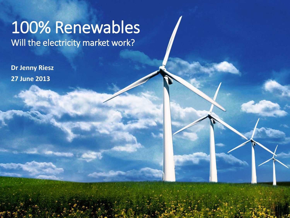# 100% Renewables Will the electricity market work?

**Dr Jenny Riesz 27 June 2013**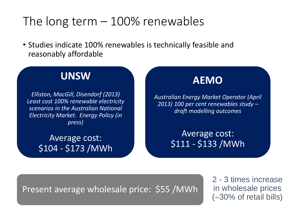# The long term  $-100\%$  renewables

• Studies indicate 100% renewables is technically feasible and reasonably affordable

#### **UNSW**

*Elliston, MacGill, Disendorf (2013) Least cost 100% renewable electricity scenarios in the Australian National Electricity Market. Energy Policy (in press)*

> Average cost: \$104 - \$173 /MWh



*Australian Energy Market Operator (April 2013) 100 per cent renewables study – draft modelling outcomes*

> Average cost: \$111 - \$133 /MWh

Present average wholesale price: \$55 /MWh

2 - 3 times increase in wholesale prices  $(\sim]30\%$  of retail bills)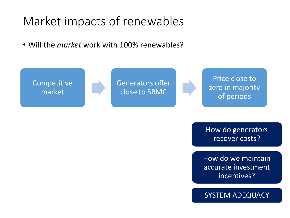# Market impacts of renewables

• Will the *market* work with 100% renewables?



How do generators recover costs?

How do we maintain accurate investment incentives?

SYSTEM ADEQUACY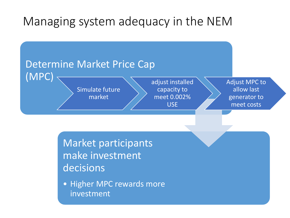# Managing system adequacy in the NEM



Market participants make investment decisions

• Higher MPC rewards more investment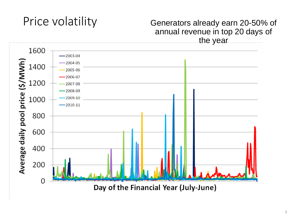# Price volatility

#### Generators already earn 20-50% of annual revenue in top 20 days of the year

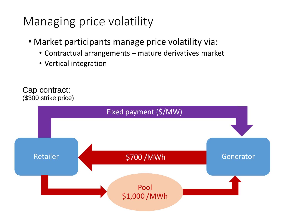# Managing price volatility

- Market participants manage price volatility via:
	- Contractual arrangements mature derivatives market
	- Vertical integration

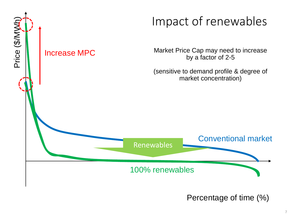

Percentage of time (%)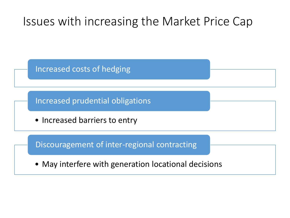# Issues with increasing the Market Price Cap

Increased costs of hedging

Increased prudential obligations

• Increased barriers to entry

Discouragement of inter-regional contracting

• May interfere with generation locational decisions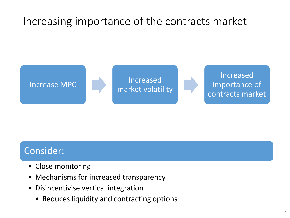# Increasing importance of the contracts market



#### Consider:

- Close monitoring
- Mechanisms for increased transparency
- Disincentivise vertical integration
	- Reduces liquidity and contracting options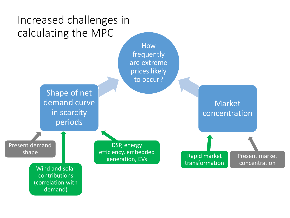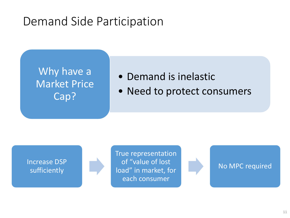# Demand Side Participation

## Why have a Market Price Cap?

#### • Demand is inelastic

• Need to protect consumers



True representation of "value of lost load" in market, for each consumer

No MPC required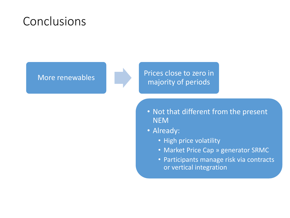# Conclusions

More renewables Prices close to zero in majority of periods

- Not that different from the present NEM
- Already:
	- High price volatility
	- Market Price Cap » generator SRMC
	- Participants manage risk via contracts or vertical integration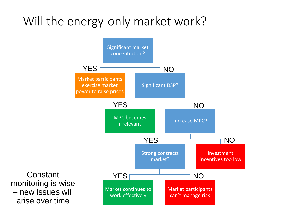# Will the energy-only market work?



**Constant** monitoring is wise – new issues will arise over time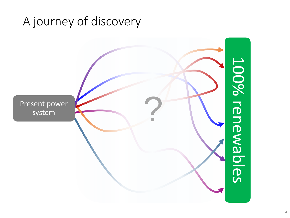# A journey of discovery